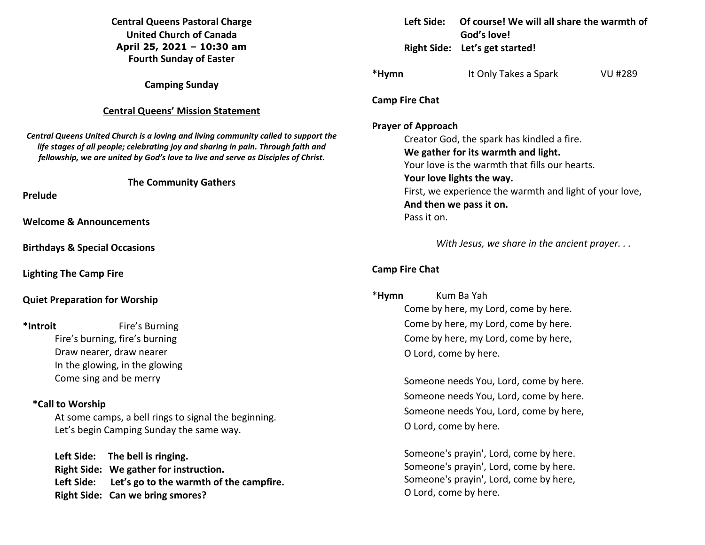## **Central Queens Pastoral Charge United Church of Canada April 25, 2021 – 10:30 am Fourth Sunday of Easter**

**Camping Sunday** 

## **Central Queens' Mission Statement**

*Central Queens United Church is a loving and living community called to support the life stages of all people; celebrating joy and sharing in pain. Through faith and fellowship, we are united by God's love to live and serve as Disciples of Christ***.** 

**The Community Gathers** 

**Prelude** 

**Welcome & Announcements** 

**Birthdays & Special Occasions** 

**Lighting The Camp Fire** 

**Quiet Preparation for Worship** 

**\*Introit** Fire's Burning Fire's burning, fire's burning Draw nearer, draw nearer In the glowing, in the glowing Come sing and be merry

### **\*Call to Worship**

At some camps, a bell rings to signal the beginning. Let's begin Camping Sunday the same way.

**Left Side: The bell is ringing. Right Side: We gather for instruction. Left Side: Let's go to the warmth of the campfire. Right Side: Can we bring smores?** 

|                                      | Leit Side: Le                                                                                                                                                                                                                                                                                      | Of course! We will all share the Warmth of<br>God's love!<br>Right Side: Let's get started! |         |  |  |  |
|--------------------------------------|----------------------------------------------------------------------------------------------------------------------------------------------------------------------------------------------------------------------------------------------------------------------------------------------------|---------------------------------------------------------------------------------------------|---------|--|--|--|
|                                      |                                                                                                                                                                                                                                                                                                    |                                                                                             |         |  |  |  |
| *Hymn                                |                                                                                                                                                                                                                                                                                                    | It Only Takes a Spark                                                                       | VU #289 |  |  |  |
|                                      | <b>Camp Fire Chat</b>                                                                                                                                                                                                                                                                              |                                                                                             |         |  |  |  |
|                                      | <b>Prayer of Approach</b><br>Creator God, the spark has kindled a fire.<br>We gather for its warmth and light.<br>Your love is the warmth that fills our hearts.<br>Your love lights the way.<br>First, we experience the warmth and light of your love,<br>And then we pass it on.<br>Pass it on. |                                                                                             |         |  |  |  |
|                                      | With Jesus, we share in the ancient prayer                                                                                                                                                                                                                                                         |                                                                                             |         |  |  |  |
|                                      | <b>Camp Fire Chat</b>                                                                                                                                                                                                                                                                              |                                                                                             |         |  |  |  |
|                                      | *Hymn                                                                                                                                                                                                                                                                                              | Kum Ba Yah                                                                                  |         |  |  |  |
|                                      |                                                                                                                                                                                                                                                                                                    | Come by here, my Lord, come by here.                                                        |         |  |  |  |
| Come by here, my Lord, come by here. |                                                                                                                                                                                                                                                                                                    |                                                                                             |         |  |  |  |
| Come by here, my Lord, come by here, |                                                                                                                                                                                                                                                                                                    |                                                                                             |         |  |  |  |
| O Lord, come by here.                |                                                                                                                                                                                                                                                                                                    |                                                                                             |         |  |  |  |

**Left Side: Of course! We will all share the warmth of** 

 Someone needs You, Lord, come by here. Someone needs You, Lord, come by here. Someone needs You, Lord, come by here, O Lord, come by here.

 Someone's prayin', Lord, come by here. Someone's prayin', Lord, come by here. Someone's prayin', Lord, come by here, O Lord, come by here.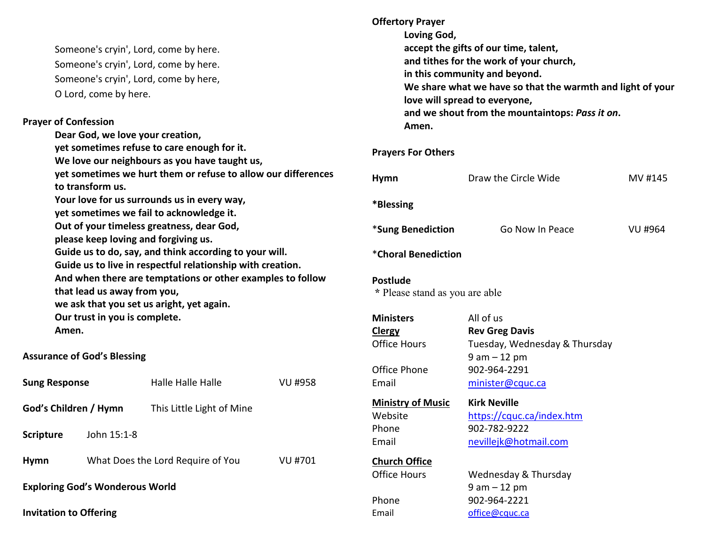| Someone's cryin', Lord, come by here. |
|---------------------------------------|
| Someone's cryin', Lord, come by here. |
| Someone's cryin', Lord, come by here, |
| O Lord, come by here.                 |

#### **Prayer of Confession**

 **Dear God, we love your creation, yet sometimes refuse to care enough for it. We love our neighbours as you have taught us, yet sometimes we hurt them or refuse to allow our differences to transform us. Your love for us surrounds us in every way, yet sometimes we fail to acknowledge it. Out of your timeless greatness, dear God, please keep loving and forgiving us. Guide us to do, say, and think according to your will. Guide us to live in respectful relationship with creation. And when there are temptations or other examples to follow that lead us away from you, we ask that you set us aright, yet again. Our trust in you is complete. Amen.** 

**Assurance of God's Blessing** 

| <b>Sung Response</b>                   |                                   | Halle Halle Halle         | VU #958 |  |  |
|----------------------------------------|-----------------------------------|---------------------------|---------|--|--|
| God's Children / Hymn                  |                                   | This Little Light of Mine |         |  |  |
| <b>Scripture</b>                       | John 15:1-8                       |                           |         |  |  |
| <b>Hymn</b>                            | What Does the Lord Require of You |                           | VU #701 |  |  |
| <b>Exploring God's Wonderous World</b> |                                   |                           |         |  |  |
| <b>Invitation to Offering</b>          |                                   |                           |         |  |  |

**Offertory Prayer Loving God, accept the gifts of our time, talent, and tithes for the work of your church, in this community and beyond. We share what we have so that the warmth and light of your love will spread to everyone, and we shout from the mountaintops:** *Pass it on***. Amen. Prayers For Others Hymn** Draw the Circle Wide MV #145 **\*Blessing** \***Sung Benediction** Go Now In Peace VU #964 \***Choral Benediction** 

**Postlude \*** Please stand as you are able

- **Ministers** All of us **Clergy**Office Hours Tuesday, Wednesday & Thursday Office Phone 902-964-2291 Email minister@cquc.ca **Ministry of Music**
- Phone 902-782-9222

# **Church Office**

**Office Hours** 

 **Kirk Neville**Website <u>https://cquc.ca/index.htm</u>

Email nevillejk@hotmail.com

**Rev Greg Davis**

9 am – 12 pm

# Wednesday & Thursday 9 am – 12 pm Phone 902-964-2221 Email **Email** office@cquc.ca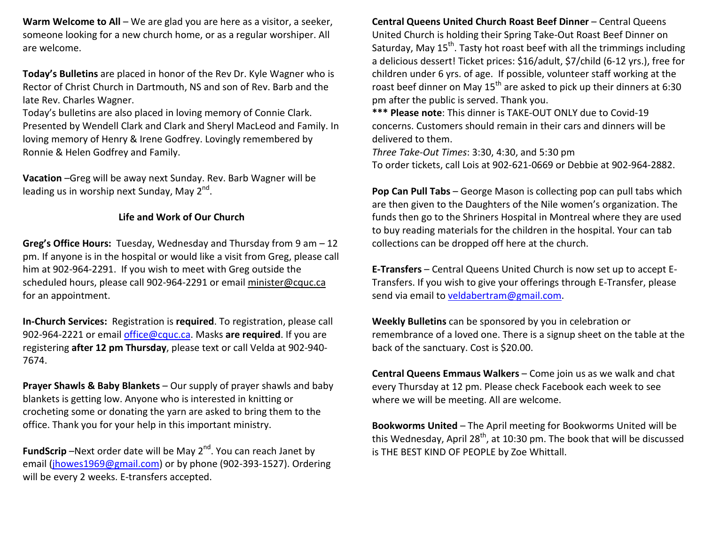**Warm Welcome to All** – We are glad you are here as a visitor, a seeker,someone looking for a new church home, or as a regular worshiper. All are welcome.

**Today's Bulletins** are placed in honor of the Rev Dr. Kyle Wagner who is Rector of Christ Church in Dartmouth, NS and son of Rev. Barb and the late Rev. Charles Wagner.

Today's bulletins are also placed in loving memory of Connie Clark. Presented by Wendell Clark and Clark and Sheryl MacLeod and Family. In loving memory of Henry & Irene Godfrey. Lovingly remembered by Ronnie & Helen Godfrey and Family.

**Vacation** –Greg will be away next Sunday. Rev. Barb Wagner will be leading us in worship next Sunday, May  $2^{nd}$ .

## **Life and Work of Our Church**

**Greg's Office Hours:** Tuesday, Wednesday and Thursday from 9 am – 12 pm. If anyone is in the hospital or would like a visit from Greg, please call him at 902-964-2291. If you wish to meet with Greg outside the scheduled hours, please call 902-964-2291 or email minister@cquc.ca for an appointment.

**In-Church Services:** Registration is **required**. To registration, please call 902-964-2221 or email office@cquc.ca. Masks **are required**. If you are registering **after 12 pm Thursday**, please text or call Velda at 902-940- 7674.

**Prayer Shawls & Baby Blankets** – Our supply of prayer shawls and baby blankets is getting low. Anyone who is interested in knitting or crocheting some or donating the yarn are asked to bring them to the office. Thank you for your help in this important ministry.

**FundScrip** –Next order date will be May 2<sup>nd</sup>. You can reach Janet by email (jhowes1969@gmail.com) or by phone (902-393-1527). Ordering will be every 2 weeks. E-transfers accepted.

**Central Queens United Church Roast Beef Dinner** – Central Queens United Church is holding their Spring Take-Out Roast Beef Dinner on Saturday, May 15<sup>th</sup>. Tasty hot roast beef with all the trimmings including a delicious dessert! Ticket prices: \$16/adult, \$7/child (6-12 yrs.), free for children under 6 yrs. of age. If possible, volunteer staff working at the roast beef dinner on May 15<sup>th</sup> are asked to pick up their dinners at 6:30 pm after the public is served. Thank you.

**\*\*\* Please note**: This dinner is TAKE-OUT ONLY due to Covid-19 concerns. Customers should remain in their cars and dinners will be delivered to them.

*Three Take-Out Times*: 3:30, 4:30, and 5:30 pm To order tickets, call Lois at 902-621-0669 or Debbie at 902-964-2882.

**Pop Can Pull Tabs** – George Mason is collecting pop can pull tabs which are then given to the Daughters of the Nile women's organization. The funds then go to the Shriners Hospital in Montreal where they are used to buy reading materials for the children in the hospital. Your can tab collections can be dropped off here at the church.

**E-Transfers** – Central Queens United Church is now set up to accept E-Transfers. If you wish to give your offerings through E-Transfer, please send via email to veldabertram@gmail.com.

**Weekly Bulletins** can be sponsored by you in celebration or remembrance of a loved one. There is a signup sheet on the table at the back of the sanctuary. Cost is \$20.00.

**Central Queens Emmaus Walkers** – Come join us as we walk and chat every Thursday at 12 pm. Please check Facebook each week to see where we will be meeting. All are welcome.

**Bookworms United** – The April meeting for Bookworms United will be this Wednesday, April 28<sup>th</sup>, at 10:30 pm. The book that will be discussed is THE BEST KIND OF PEOPLE by Zoe Whittall.